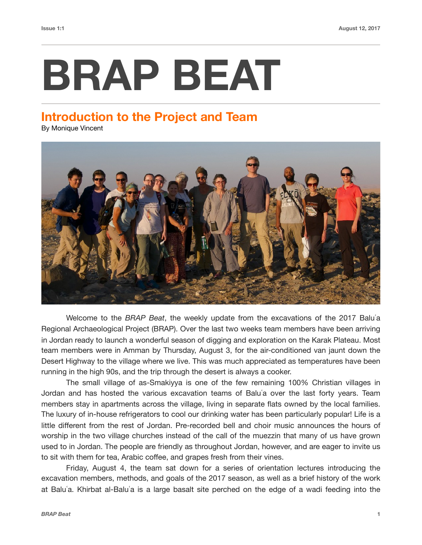## **BRAP BEAT**

## **Introduction to the Project and Team**

By Monique Vincent



Welcome to the *BRAP Beat*, the weekly update from the excavations of the 2017 Baluʿa Regional Archaeological Project (BRAP). Over the last two weeks team members have been arriving in Jordan ready to launch a wonderful season of digging and exploration on the Karak Plateau. Most team members were in Amman by Thursday, August 3, for the air-conditioned van jaunt down the Desert Highway to the village where we live. This was much appreciated as temperatures have been running in the high 90s, and the trip through the desert is always a cooker.

The small village of as-Smakiyya is one of the few remaining 100% Christian villages in Jordan and has hosted the various excavation teams of Baluʿa over the last forty years. Team members stay in apartments across the village, living in separate flats owned by the local families. The luxury of in-house refrigerators to cool our drinking water has been particularly popular! Life is a little different from the rest of Jordan. Pre-recorded bell and choir music announces the hours of worship in the two village churches instead of the call of the muezzin that many of us have grown used to in Jordan. The people are friendly as throughout Jordan, however, and are eager to invite us to sit with them for tea, Arabic coffee, and grapes fresh from their vines.

Friday, August 4, the team sat down for a series of orientation lectures introducing the excavation members, methods, and goals of the 2017 season, as well as a brief history of the work at Baluʿa. Khirbat al-Baluʿa is a large basalt site perched on the edge of a wadi feeding into the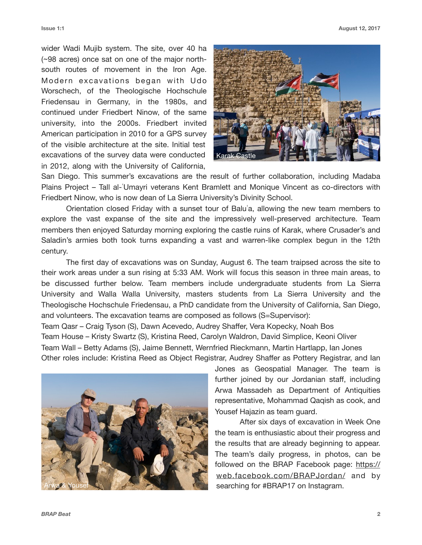wider Wadi Mujib system. The site, over 40 ha (~98 acres) once sat on one of the major northsouth routes of movement in the Iron Age. Modern excavations began with Udo Worschech, of the Theologische Hochschule Friedensau in Germany, in the 1980s, and continued under Friedbert Ninow, of the same university, into the 2000s. Friedbert invited American participation in 2010 for a GPS survey of the visible architecture at the site. Initial test excavations of the survey data were conducted in 2012, along with the University of California,



San Diego. This summer's excavations are the result of further collaboration, including Madaba Plains Project – Tall al-ʿUmayri veterans Kent Bramlett and Monique Vincent as co-directors with Friedbert Ninow, who is now dean of La Sierra University's Divinity School.

Orientation closed Friday with a sunset tour of Baluʿa, allowing the new team members to explore the vast expanse of the site and the impressively well-preserved architecture. Team members then enjoyed Saturday morning exploring the castle ruins of Karak, where Crusader's and Saladin's armies both took turns expanding a vast and warren-like complex begun in the 12th century.

The first day of excavations was on Sunday, August 6. The team traipsed across the site to their work areas under a sun rising at 5:33 AM. Work will focus this season in three main areas, to be discussed further below. Team members include undergraduate students from La Sierra University and Walla Walla University, masters students from La Sierra University and the Theologische Hochschule Friedensau, a PhD candidate from the University of California, San Diego, and volunteers. The excavation teams are composed as follows (S=Supervisor):

Team Qasr – Craig Tyson (S), Dawn Acevedo, Audrey Shaffer, Vera Kopecky, Noah Bos Team House – Kristy Swartz (S), Kristina Reed, Carolyn Waldron, David Simplice, Keoni Oliver Team Wall – Betty Adams (S), Jaime Bennett, Wernfried Rieckmann, Martin Hartlapp, Ian Jones Other roles include: Kristina Reed as Object Registrar, Audrey Shaffer as Pottery Registrar, and Ian



Jones as Geospatial Manager. The team is further joined by our Jordanian staff, including Arwa Massadeh as Department of Antiquities representative, Mohammad Qaqish as cook, and Yousef Hajazin as team guard.

After six days of excavation in Week One the team is enthusiastic about their progress and the results that are already beginning to appear. The team's daily progress, in photos, can be followed on the BRAP Facebook page: [https://](https://web.facebook.com/BRAPJordan/) [web.facebook.com/BRAPJordan/](https://web.facebook.com/BRAPJordan/) and by searching for #BRAP17 on Instagram.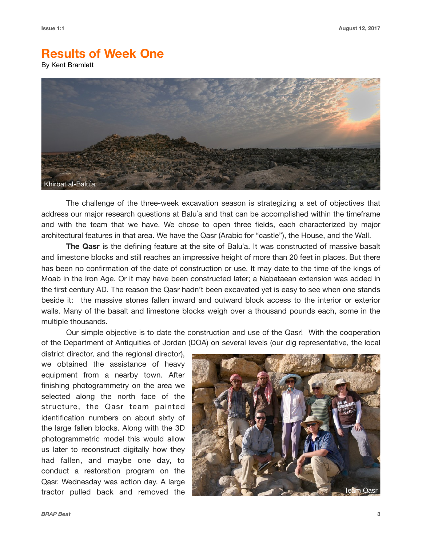## **Results of Week One**

By Kent Bramlett



The challenge of the three-week excavation season is strategizing a set of objectives that address our major research questions at Baluʿa and that can be accomplished within the timeframe and with the team that we have. We chose to open three fields, each characterized by major architectural features in that area. We have the Qasr (Arabic for "castle"), the House, and the Wall.

**The Qasr** is the defining feature at the site of Baluʿa. It was constructed of massive basalt and limestone blocks and still reaches an impressive height of more than 20 feet in places. But there has been no confirmation of the date of construction or use. It may date to the time of the kings of Moab in the Iron Age. Or it may have been constructed later; a Nabataean extension was added in the first century AD. The reason the Qasr hadn't been excavated yet is easy to see when one stands beside it: the massive stones fallen inward and outward block access to the interior or exterior walls. Many of the basalt and limestone blocks weigh over a thousand pounds each, some in the multiple thousands.

Our simple objective is to date the construction and use of the Qasr! With the cooperation of the Department of Antiquities of Jordan (DOA) on several levels (our dig representative, the local

district director, and the regional director), we obtained the assistance of heavy equipment from a nearby town. After finishing photogrammetry on the area we selected along the north face of the structure, the Qasr team painted identification numbers on about sixty of the large fallen blocks. Along with the 3D photogrammetric model this would allow us later to reconstruct digitally how they had fallen, and maybe one day, to conduct a restoration program on the Qasr. Wednesday was action day. A large tractor pulled back and removed the

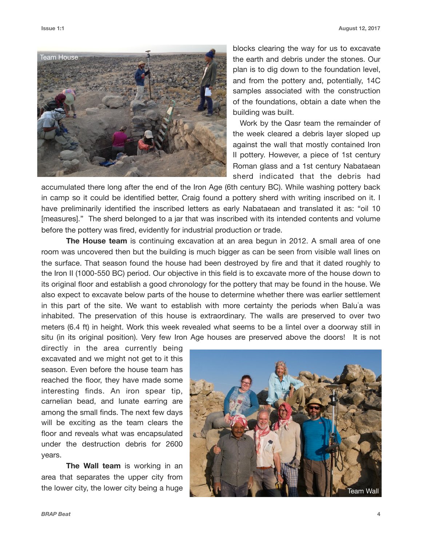

blocks clearing the way for us to excavate the earth and debris under the stones. Our plan is to dig down to the foundation level, and from the pottery and, potentially, 14C samples associated with the construction of the foundations, obtain a date when the building was built.

Work by the Qasr team the remainder of the week cleared a debris layer sloped up against the wall that mostly contained Iron II pottery. However, a piece of 1st century Roman glass and a 1st century Nabataean sherd indicated that the debris had

accumulated there long after the end of the Iron Age (6th century BC). While washing pottery back in camp so it could be identified better, Craig found a pottery sherd with writing inscribed on it. I have preliminarily identified the inscribed letters as early Nabataean and translated it as: "oil 10 [measures]." The sherd belonged to a jar that was inscribed with its intended contents and volume before the pottery was fired, evidently for industrial production or trade.

**The House team** is continuing excavation at an area begun in 2012. A small area of one room was uncovered then but the building is much bigger as can be seen from visible wall lines on the surface. That season found the house had been destroyed by fire and that it dated roughly to the Iron II (1000-550 BC) period. Our objective in this field is to excavate more of the house down to its original floor and establish a good chronology for the pottery that may be found in the house. We also expect to excavate below parts of the house to determine whether there was earlier settlement in this part of the site. We want to establish with more certainty the periods when Baluʿa was inhabited. The preservation of this house is extraordinary. The walls are preserved to over two meters (6.4 ft) in height. Work this week revealed what seems to be a lintel over a doorway still in situ (in its original position). Very few Iron Age houses are preserved above the doors! It is not

directly in the area currently being excavated and we might not get to it this season. Even before the house team has reached the floor, they have made some interesting finds. An iron spear tip, carnelian bead, and lunate earring are among the small finds. The next few days will be exciting as the team clears the floor and reveals what was encapsulated under the destruction debris for 2600 years.

**The Wall team** is working in an area that separates the upper city from the lower city, the lower city being a huge